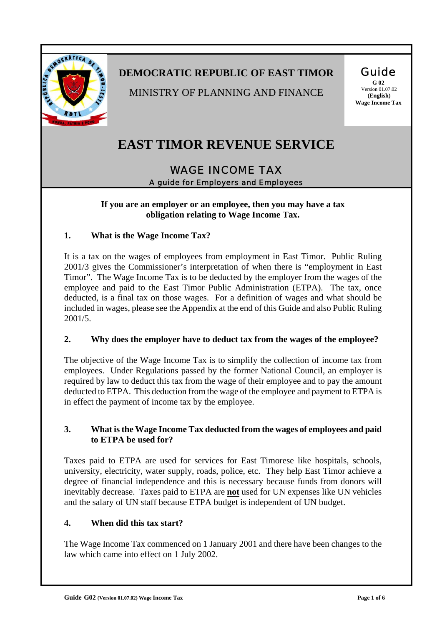

# **DEMOCRATIC REPUBLIC OF EAST TIMOR**

MINISTRY OF PLANNING AND FINANCE

#### Guide **G 02**

 Version 01.07.02  **(English) Wage Income Tax** 

# **EAST TIMOR REVENUE SERVICE**

# WAGE INCOME TAX A guide for Employers and Employees

**If you are an employer or an employee, then you may have a tax obligation relating to Wage Income Tax.** 

#### **1. What is the Wage Income Tax?**

It is a tax on the wages of employees from employment in East Timor. Public Ruling 2001/3 gives the Commissioner's interpretation of when there is "employment in East Timor". The Wage Income Tax is to be deducted by the employer from the wages of the employee and paid to the East Timor Public Administration (ETPA). The tax, once deducted, is a final tax on those wages. For a definition of wages and what should be included in wages, please see the Appendix at the end of this Guide and also Public Ruling 2001/5.

## **2. Why does the employer have to deduct tax from the wages of the employee?**

The objective of the Wage Income Tax is to simplify the collection of income tax from employees. Under Regulations passed by the former National Council, an employer is required by law to deduct this tax from the wage of their employee and to pay the amount deducted to ETPA. This deduction from the wage of the employee and payment to ETPA is in effect the payment of income tax by the employee.

#### **3. What is the Wage Income Tax deducted from the wages of employees and paid to ETPA be used for?**

Taxes paid to ETPA are used for services for East Timorese like hospitals, schools, university, electricity, water supply, roads, police, etc. They help East Timor achieve a degree of financial independence and this is necessary because funds from donors will inevitably decrease. Taxes paid to ETPA are **not** used for UN expenses like UN vehicles and the salary of UN staff because ETPA budget is independent of UN budget.

#### **4. When did this tax start?**

The Wage Income Tax commenced on 1 January 2001 and there have been changes to the law which came into effect on 1 July 2002.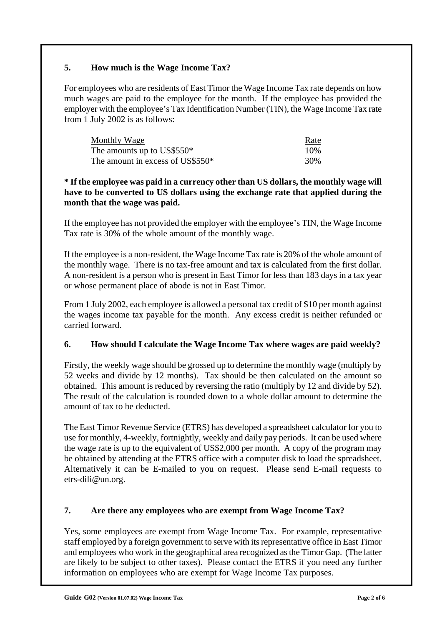## **5. How much is the Wage Income Tax?**

For employees who are residents of East Timor the Wage Income Tax rate depends on how much wages are paid to the employee for the month. If the employee has provided the employer with the employee's Tax Identification Number (TIN), the Wage Income Tax rate from 1 July 2002 is as follows:

| Monthly Wage                                 | Rate |
|----------------------------------------------|------|
| The amounts up to US\$550*                   | 10%  |
| The amount in excess of US\$550 <sup>*</sup> | 30%  |

#### **\* If the employee was paid in a currency other than US dollars, the monthly wage will have to be converted to US dollars using the exchange rate that applied during the month that the wage was paid.**

If the employee has not provided the employer with the employee's TIN, the Wage Income Tax rate is 30% of the whole amount of the monthly wage.

If the employee is a non-resident, the Wage Income Tax rate is 20% of the whole amount of the monthly wage. There is no tax-free amount and tax is calculated from the first dollar. A non-resident is a person who is present in East Timor for less than 183 days in a tax year or whose permanent place of abode is not in East Timor.

From 1 July 2002, each employee is allowed a personal tax credit of \$10 per month against the wages income tax payable for the month. Any excess credit is neither refunded or carried forward.

## **6. How should I calculate the Wage Income Tax where wages are paid weekly?**

Firstly, the weekly wage should be grossed up to determine the monthly wage (multiply by 52 weeks and divide by 12 months). Tax should be then calculated on the amount so obtained. This amount is reduced by reversing the ratio (multiply by 12 and divide by 52). The result of the calculation is rounded down to a whole dollar amount to determine the amount of tax to be deducted.

The East Timor Revenue Service (ETRS) has developed a spreadsheet calculator for you to use for monthly, 4-weekly, fortnightly, weekly and daily pay periods. It can be used where the wage rate is up to the equivalent of US\$2,000 per month. A copy of the program may be obtained by attending at the ETRS office with a computer disk to load the spreadsheet. Alternatively it can be E-mailed to you on request. Please send E-mail requests to etrs-dili@un.org.

#### **7. Are there any employees who are exempt from Wage Income Tax?**

Yes, some employees are exempt from Wage Income Tax. For example, representative staff employed by a foreign government to serve with its representative office in East Timor and employees who work in the geographical area recognized as the Timor Gap. (The latter are likely to be subject to other taxes). Please contact the ETRS if you need any further information on employees who are exempt for Wage Income Tax purposes.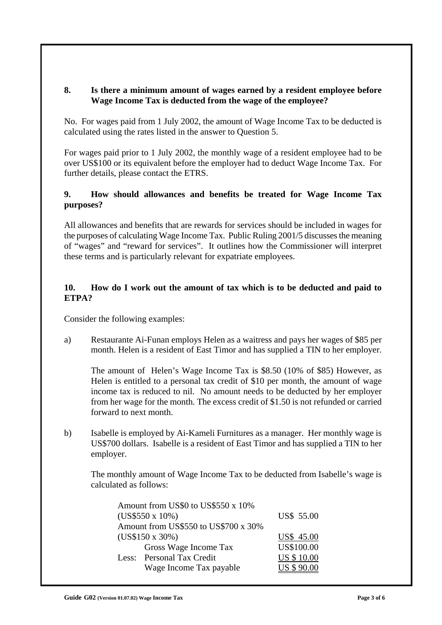#### **8. Is there a minimum amount of wages earned by a resident employee before Wage Income Tax is deducted from the wage of the employee?**

No. For wages paid from 1 July 2002, the amount of Wage Income Tax to be deducted is calculated using the rates listed in the answer to Question 5.

For wages paid prior to 1 July 2002, the monthly wage of a resident employee had to be over US\$100 or its equivalent before the employer had to deduct Wage Income Tax. For further details, please contact the ETRS.

#### **9. How should allowances and benefits be treated for Wage Income Tax purposes?**

All allowances and benefits that are rewards for services should be included in wages for the purposes of calculating Wage Income Tax. Public Ruling 2001/5 discusses the meaning of "wages" and "reward for services". It outlines how the Commissioner will interpret these terms and is particularly relevant for expatriate employees.

#### **10. How do I work out the amount of tax which is to be deducted and paid to ETPA?**

Consider the following examples:

a) Restaurante Ai-Funan employs Helen as a waitress and pays her wages of \$85 per month. Helen is a resident of East Timor and has supplied a TIN to her employer.

The amount of Helen's Wage Income Tax is \$8.50 (10% of \$85) However, as Helen is entitled to a personal tax credit of \$10 per month, the amount of wage income tax is reduced to nil. No amount needs to be deducted by her employer from her wage for the month. The excess credit of \$1.50 is not refunded or carried forward to next month.

b) Isabelle is employed by Ai-Kameli Furnitures as a manager. Her monthly wage is US\$700 dollars. Isabelle is a resident of East Timor and has supplied a TIN to her employer.

The monthly amount of Wage Income Tax to be deducted from Isabelle's wage is calculated as follows:

|                           | Amount from US\$0 to US\$550 x 10%            |  |
|---------------------------|-----------------------------------------------|--|
| (US\$550 x 10%)           | US\$ 55.00                                    |  |
|                           | Amount from US\$550 to US\$700 x 30%          |  |
| (US\$150 x 30%)           | US\$ 45.00                                    |  |
|                           | US\$100.00<br>Gross Wage Income Tax           |  |
| Less: Personal Tax Credit | <b>US \$10.00</b>                             |  |
|                           | <b>US \$ 90.00</b><br>Wage Income Tax payable |  |
|                           |                                               |  |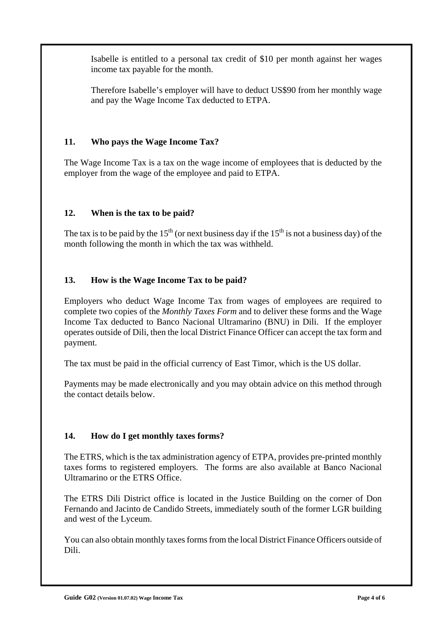Isabelle is entitled to a personal tax credit of \$10 per month against her wages income tax payable for the month.

Therefore Isabelle's employer will have to deduct US\$90 from her monthly wage and pay the Wage Income Tax deducted to ETPA.

## **11. Who pays the Wage Income Tax?**

The Wage Income Tax is a tax on the wage income of employees that is deducted by the employer from the wage of the employee and paid to ETPA.

## **12. When is the tax to be paid?**

The tax is to be paid by the 15<sup>th</sup> (or next business day if the 15<sup>th</sup> is not a business day) of the month following the month in which the tax was withheld.

#### **13. How is the Wage Income Tax to be paid?**

Employers who deduct Wage Income Tax from wages of employees are required to complete two copies of the *Monthly Taxes Form* and to deliver these forms and the Wage Income Tax deducted to Banco Nacional Ultramarino (BNU) in Dili. If the employer operates outside of Dili, then the local District Finance Officer can accept the tax form and payment.

The tax must be paid in the official currency of East Timor, which is the US dollar.

Payments may be made electronically and you may obtain advice on this method through the contact details below.

## **14. How do I get monthly taxes forms?**

The ETRS, which is the tax administration agency of ETPA, provides pre-printed monthly taxes forms to registered employers. The forms are also available at Banco Nacional Ultramarino or the ETRS Office.

The ETRS Dili District office is located in the Justice Building on the corner of Don Fernando and Jacinto de Candido Streets, immediately south of the former LGR building and west of the Lyceum.

You can also obtain monthly taxes forms from the local District Finance Officers outside of Dili.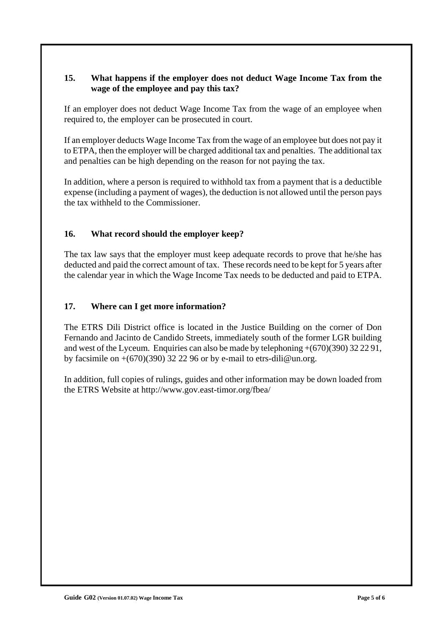#### **15. What happens if the employer does not deduct Wage Income Tax from the wage of the employee and pay this tax?**

If an employer does not deduct Wage Income Tax from the wage of an employee when required to, the employer can be prosecuted in court.

If an employer deducts Wage Income Tax from the wage of an employee but does not pay it to ETPA, then the employer will be charged additional tax and penalties. The additional tax and penalties can be high depending on the reason for not paying the tax.

In addition, where a person is required to withhold tax from a payment that is a deductible expense (including a payment of wages), the deduction is not allowed until the person pays the tax withheld to the Commissioner.

#### **16. What record should the employer keep?**

The tax law says that the employer must keep adequate records to prove that he/she has deducted and paid the correct amount of tax. These records need to be kept for 5 years after the calendar year in which the Wage Income Tax needs to be deducted and paid to ETPA.

#### **17. Where can I get more information?**

The ETRS Dili District office is located in the Justice Building on the corner of Don Fernando and Jacinto de Candido Streets, immediately south of the former LGR building and west of the Lyceum. Enquiries can also be made by telephoning +(670)(390) 32 22 91, by facsimile on  $+(670)(390)$  32 22 96 or by e-mail to etrs-dili@un.org.

In addition, full copies of rulings, guides and other information may be down loaded from the ETRS Website at http://www.gov.east-timor.org/fbea/